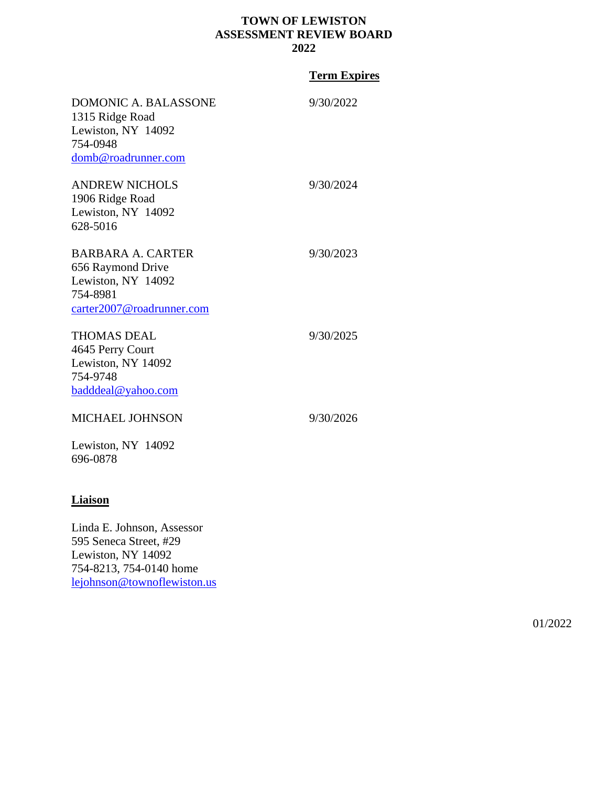# **TOWN OF LEWISTON ASSESSMENT REVIEW BOARD 2022**

# **Term Expires**

| DOMONIC A. BALASSONE<br>1315 Ridge Road<br>Lewiston, NY 14092<br>754-0948<br>domb@roadrunner.com      | 9/30/2022 |
|-------------------------------------------------------------------------------------------------------|-----------|
| <b>ANDREW NICHOLS</b><br>1906 Ridge Road<br>Lewiston, NY 14092<br>628-5016                            | 9/30/2024 |
| BARBARA A. CARTER<br>656 Raymond Drive<br>Lewiston, NY 14092<br>754-8981<br>carter2007@roadrunner.com | 9/30/2023 |
| <b>THOMAS DEAL</b><br>4645 Perry Court<br>Lewiston, NY 14092<br>754-9748<br>badddeal@yahoo.com        | 9/30/2025 |
| <b>MICHAEL JOHNSON</b><br>Lewiston, NY 14092<br>696-0878                                              | 9/30/2026 |

# **Liaison**

Linda E. Johnson, Assessor 595 Seneca Street, #29 Lewiston, NY 14092 754-8213, 754-0140 home [lejohnson@townoflewiston.us](mailto:lejohnson@townoflewiston.us)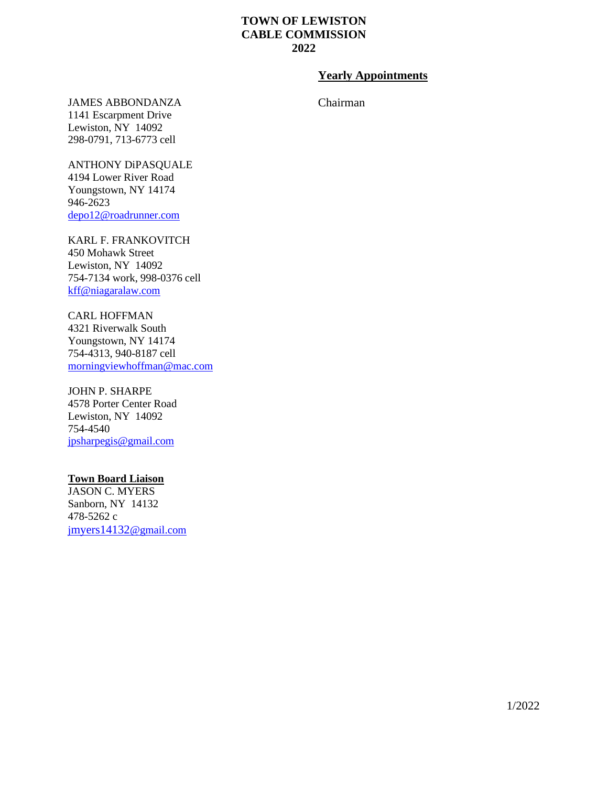# **TOWN OF LEWISTON CABLE COMMISSION 2022**

# **Yearly Appointments**

Chairman

JAMES ABBONDANZA 1141 Escarpment Drive

Lewiston, NY 14092 298-0791, 713-6773 cell

ANTHONY DiPASQUALE 4194 Lower River Road Youngstown, NY 14174 946-2623 [depo12@roadrunner.com](mailto:depo12@roadrunner.com)

KARL F. FRANKOVITCH 450 Mohawk Street Lewiston, NY 14092 754-7134 work, 998-0376 cell [kff@niagaralaw.com](mailto:kff@niagaralaw.com)

CARL HOFFMAN 4321 Riverwalk South Youngstown, NY 14174 754-4313, 940-8187 cell [morningviewhoffman@mac.com](mailto:morningviewhoffman@mac.com)

JOHN P. SHARPE 4578 Porter Center Road Lewiston, NY 14092 754-4540 [jpsharpegis@gmail.com](mailto:jpsharpegis@gmail.com)

# **Town Board Liaison**

JASON C. MYERS Sanborn, NY 14132 478-5262 c j[myers14132](mailto:jmyers14132@gmail.com)@gmail.com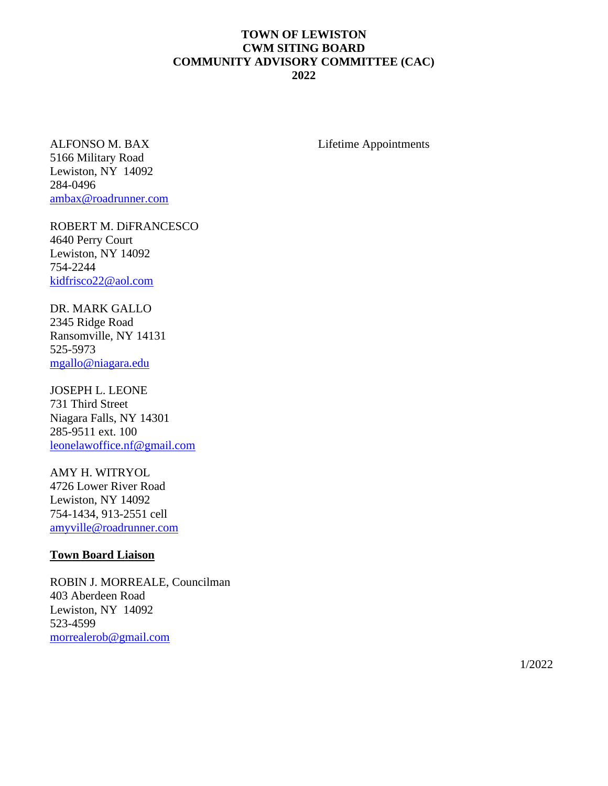# **TOWN OF LEWISTON CWM SITING BOARD COMMUNITY ADVISORY COMMITTEE (CAC) 2022**

ALFONSO M. BAX 5166 Military Road Lewiston, NY 14092 284-0496 [ambax@roadrunner.com](mailto:ambax@roadrunner.com)

ROBERT M. DiFRANCESCO 4640 Perry Court Lewiston, NY 14092 754-2244 [kidfrisco22@aol.com](mailto:kidfrisco22@aol.com)

DR. MARK GALLO 2345 Ridge Road Ransomville, NY 14131 525-5973 [mgallo@niagara.edu](mailto:mgallo@niagara.edu)

JOSEPH L. LEONE 731 Third Street Niagara Falls, NY 14301 285-9511 ext. 100 [leonelawoffice.nf@gmail.com](mailto:leonelawoffice.nf@gmail.com)

AMY H. WITRYOL 4726 Lower River Road Lewiston, NY 14092 754-1434, 913-2551 cell [amyville@roadrunner.com](mailto:amyville@roadrunner.com)

#### **Town Board Liaison**

ROBIN J. MORREALE, Councilman 403 Aberdeen Road Lewiston, NY 14092 523-4599 [morrealerob@gmail.com](mailto:morrealerob@gmail.com)

Lifetime Appointments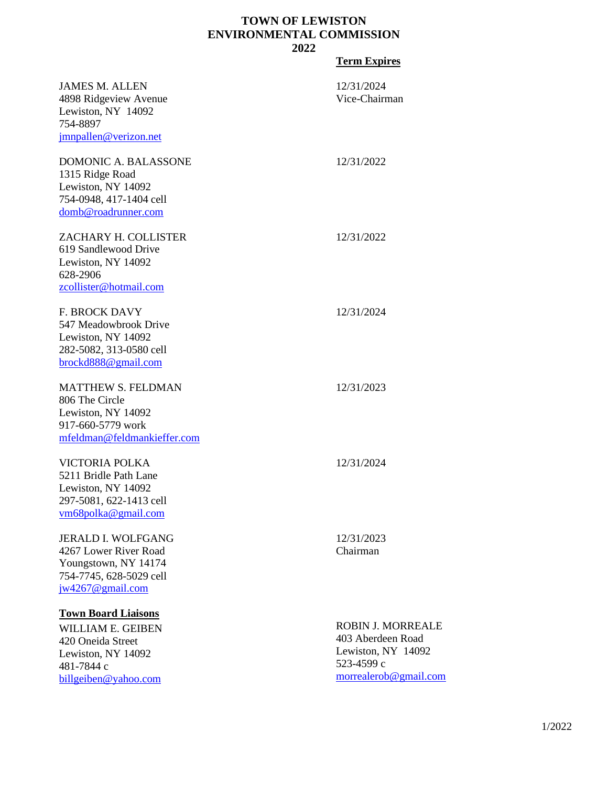# **TOWN OF LEWISTON ENVIRONMENTAL COMMISSION 2022**

# **Term Expires**

| <b>JAMES M. ALLEN</b><br>4898 Ridgeview Avenue<br>Lewiston, NY 14092<br>754-8897<br>jmnpallen@verizon.net                        | 12/31/2024<br>Vice-Chairman                                                                                |
|----------------------------------------------------------------------------------------------------------------------------------|------------------------------------------------------------------------------------------------------------|
| DOMONIC A. BALASSONE<br>1315 Ridge Road<br>Lewiston, NY 14092<br>754-0948, 417-1404 cell<br>domb@roadrunner.com                  | 12/31/2022                                                                                                 |
| ZACHARY H. COLLISTER<br>619 Sandlewood Drive<br>Lewiston, NY 14092<br>628-2906<br>zcollister@hotmail.com                         | 12/31/2022                                                                                                 |
| <b>F. BROCK DAVY</b><br>547 Meadowbrook Drive<br>Lewiston, NY 14092<br>282-5082, 313-0580 cell<br>brockd888@gmail.com            | 12/31/2024                                                                                                 |
| <b>MATTHEW S. FELDMAN</b><br>806 The Circle<br>Lewiston, NY 14092<br>917-660-5779 work<br>mfeldman@feldmankieffer.com            | 12/31/2023                                                                                                 |
| <b>VICTORIA POLKA</b><br>5211 Bridle Path Lane<br>Lewiston, NY 14092<br>297-5081, 622-1413 cell<br>vm68polka@gmail.com           | 12/31/2024                                                                                                 |
| <b>JERALD I. WOLFGANG</b><br>4267 Lower River Road<br>Youngstown, NY 14174<br>754-7745, 628-5029 cell<br>$jw4267@$ gmail.com     | 12/31/2023<br>Chairman                                                                                     |
| <b>Town Board Liaisons</b><br>WILLIAM E. GEIBEN<br>420 Oneida Street<br>Lewiston, NY 14092<br>481-7844 c<br>billgeiben@yahoo.com | <b>ROBIN J. MORREALE</b><br>403 Aberdeen Road<br>Lewiston, NY 14092<br>523-4599 c<br>morrealerob@gmail.com |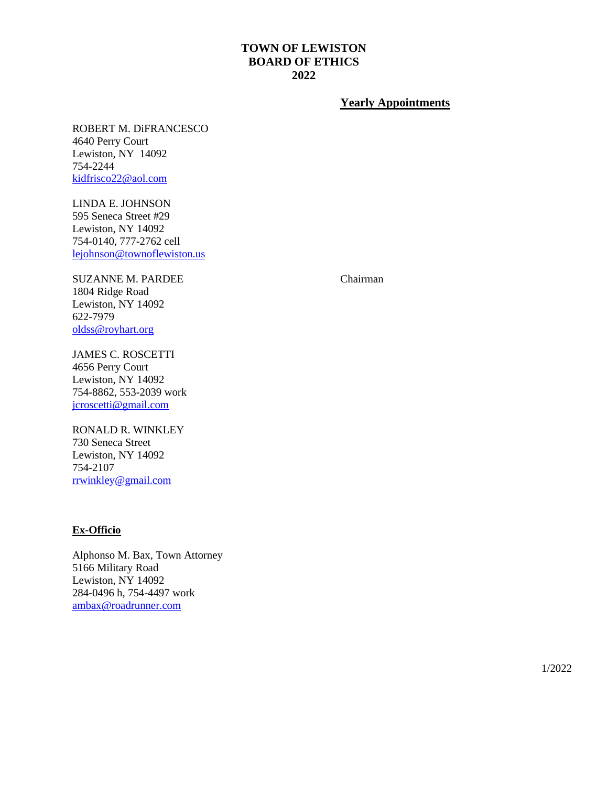# **TOWN OF LEWISTON BOARD OF ETHICS 2022**

# **Yearly Appointments**

ROBERT M. DiFRANCESCO 4640 Perry Court Lewiston, NY 14092 754-2244 [kidfrisco22@aol.com](mailto:kidfrisco22@aol.com)

LINDA E. JOHNSON 595 Seneca Street #29 Lewiston, NY 14092 754-0140, 777-2762 cell [lejohnson@townoflewiston.us](mailto:lejohnson@townoflewiston.us)

SUZANNE M. PARDEE 1804 Ridge Road Lewiston, NY 14092 622-7979 [oldss@royhart.org](mailto:oldss@royhart.org)

JAMES C. ROSCETTI 4656 Perry Court Lewiston, NY 14092 754-8862, 553-2039 work [jcroscetti@gmail.com](mailto:jcroscetti@gmail.com)

RONALD R. WINKLEY 730 Seneca Street Lewiston, NY 14092 754-2107 [rrwinkley@gmail.com](mailto:rrwinkley@gmail.com)

# **Ex-Officio**

Alphonso M. Bax, Town Attorney 5166 Military Road Lewiston, NY 14092 284-0496 h, 754-4497 work [ambax@roadrunner.com](mailto:ambax@roadrunner.com)

Chairman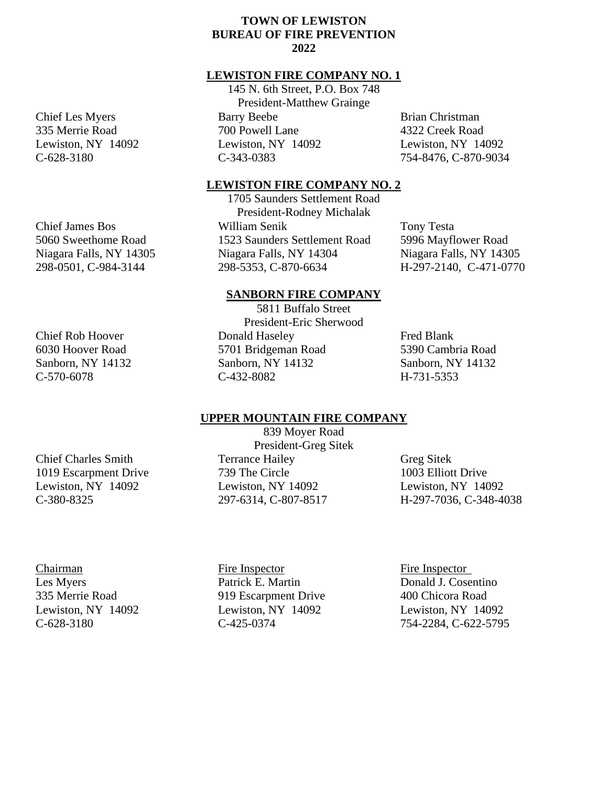# **TOWN OF LEWISTON BUREAU OF FIRE PREVENTION 2022**

#### **LEWISTON FIRE COMPANY NO. 1**

145 N. 6th Street, P.O. Box 748 President-Matthew Grainge Barry Beebe 700 Powell Lane Lewiston, NY 14092 C-343-0383

Brian Christman 4322 Creek Road Lewiston, NY 14092 754-8476, C-870-9034

#### **LEWISTON FIRE COMPANY NO. 2**

1705 Saunders Settlement Road President-Rodney Michalak William Senik 1523 Saunders Settlement Road Niagara Falls, NY 14304 298-5353, C-870-6634

Tony Testa 5996 Mayflower Road Niagara Falls, NY 14305 H-297-2140, C-471-0770

### **SANBORN FIRE COMPANY**

5811 Buffalo Street President-Eric Sherwood Donald Haseley 5701 Bridgeman Road Sanborn, NY 14132 C-432-8082

Fred Blank 5390 Cambria Road Sanborn, NY 14132 H-731-5353

#### **UPPER MOUNTAIN FIRE COMPANY**

839 Moyer Road President-Greg Sitek Terrance Hailey 739 The Circle Lewiston, NY 14092 297-6314, C-807-8517

Greg Sitek 1003 Elliott Drive Lewiston, NY 14092 H-297-7036, C-348-4038

Chairman Les Myers 335 Merrie Road Lewiston, NY 14092 C-628-3180

Fire Inspector Patrick E. Martin 919 Escarpment Drive Lewiston, NY 14092 C-425-0374

Fire Inspector Donald J. Cosentino 400 Chicora Road Lewiston, NY 14092 754-2284, C-622-5795

# Chief Rob Hoover 6030 Hoover Road Sanborn, NY 14132 C-570-6078

Chief Charles Smith 1019 Escarpment Drive Lewiston, NY 14092

C-380-8325

Chief Les Myers 335 Merrie Road Lewiston, NY 14092 C-628-3180

Chief James Bos 5060 Sweethome Road Niagara Falls, NY 14305 298-0501, C-984-3144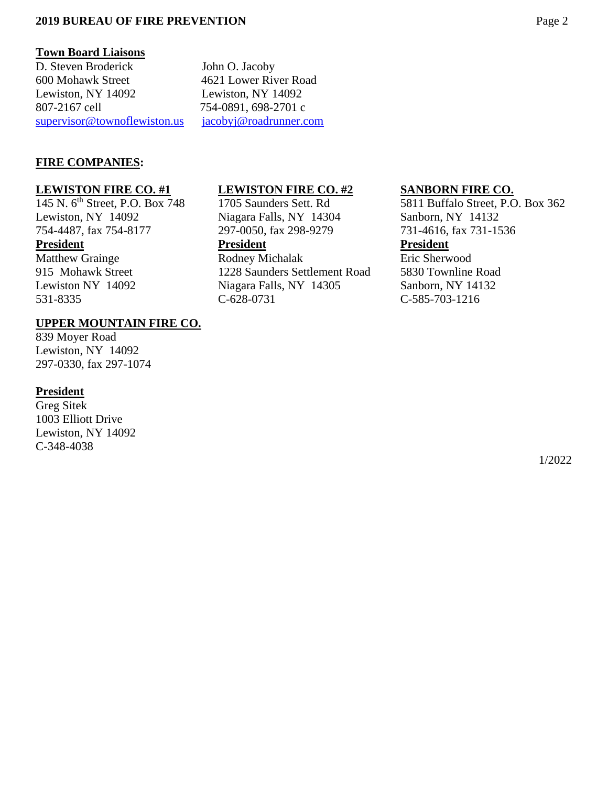# **2019 BUREAU OF FIRE PREVENTION** Page 2

#### **Town Board Liaisons**

D. Steven Broderick John O. Jacoby 600 Mohawk Street 4621 Lower River Road Lewiston, NY 14092 Lewiston, NY 14092 807-2167 cell 754-0891, 698-2701 c [supervisor@townoflewiston.us](mailto:supervisor@townoflewiston.us) [jacobyj@roadrunner.com](mailto:jacobyj@roadrunner.com)

# **FIRE COMPANIES:**

#### **LEWISTON FIRE CO. #1**

145 N. 6th Street, P.O. Box 748 Lewiston, NY 14092 754-4487, fax 754-8177

### **President**

Matthew Grainge 915 Mohawk Street Lewiston NY 14092 531-8335

### **UPPER MOUNTAIN FIRE CO.**

839 Moyer Road Lewiston, NY 14092 297-0330, fax 297-1074

#### **President**

Greg Sitek 1003 Elliott Drive Lewiston, NY 14092 C-348-4038

### **LEWISTON FIRE CO. #2**

1705 Saunders Sett. Rd Niagara Falls, NY 14304 297-0050, fax 298-9279

# **President**

Rodney Michalak 1228 Saunders Settlement Road Niagara Falls, NY 14305 C-628-0731

#### **SANBORN FIRE CO.**

5811 Buffalo Street, P.O. Box 362 Sanborn, NY 14132 731-4616, fax 731-1536

# **President**

Eric Sherwood 5830 Townline Road Sanborn, NY 14132 C-585-703-1216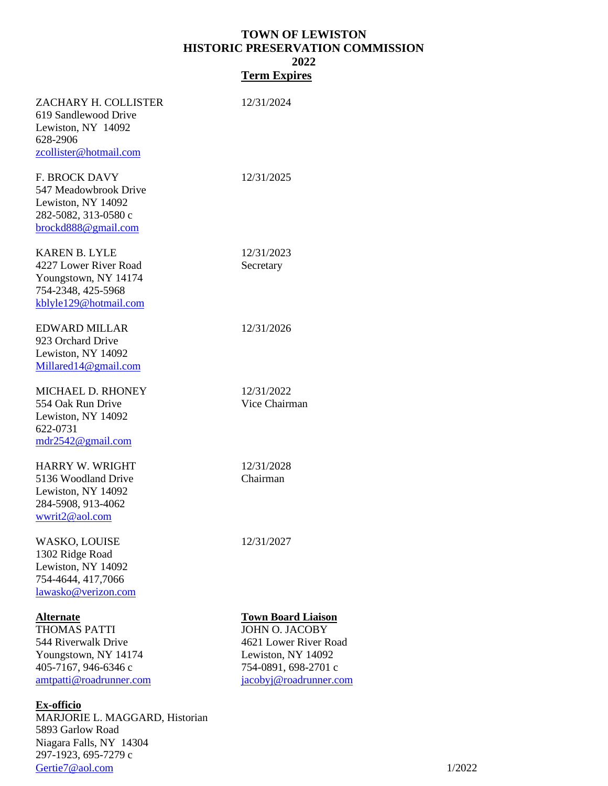# **TOWN OF LEWISTON HISTORIC PRESERVATION COMMISSION 2022 Term Expires**

| 923 Orchard Drive<br>Lewiston, NY 14092<br>Millared 14@gmail.com                                                                                                                                                                  |                                                                                                                                                     |
|-----------------------------------------------------------------------------------------------------------------------------------------------------------------------------------------------------------------------------------|-----------------------------------------------------------------------------------------------------------------------------------------------------|
| MICHAEL D. RHONEY<br>554 Oak Run Drive<br>Lewiston, NY 14092<br>622-0731<br>mdr2542@gmail.com                                                                                                                                     | 12/31/2022<br>Vice Chairman                                                                                                                         |
| HARRY W. WRIGHT<br>5136 Woodland Drive<br>Lewiston, NY 14092<br>284-5908, 913-4062<br>wwrit2@aol.com                                                                                                                              | 12/31/2028<br>Chairman                                                                                                                              |
| WASKO, LOUISE<br>1302 Ridge Road<br>Lewiston, NY 14092<br>754-4644, 417,7066<br>lawasko@verizon.com                                                                                                                               | 12/31/2027                                                                                                                                          |
| Alternate<br>THOMAS PATTI<br>544 Riverwalk Drive<br>Youngstown, NY 14174<br>405-7167, 946-6346 c<br>amtpatti@roadrunner.com<br><u>Ex-officio</u><br>MARJORIE L. MAGGARD, Historian<br>5893 Garlow Road<br>Niagara Falls, NY 14304 | <b>Town Board Liaison</b><br><b>JOHN O. JACOBY</b><br>4621 Lower River Road<br>Lewiston, NY 14092<br>754-0891, 698-2701 c<br>jacobyj@roadrunner.com |

297-1923, 695-7279 c [Gertie7@aol.com](mailto:Gertie7@aol.com)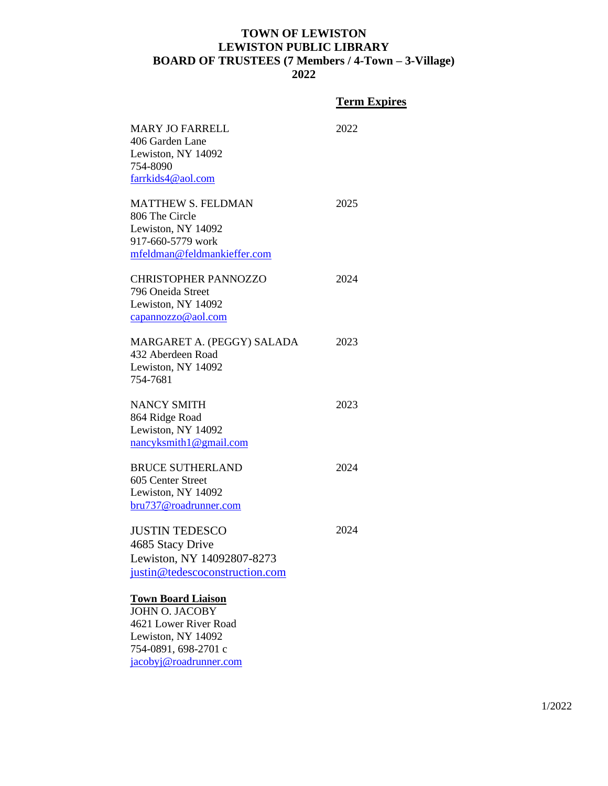# **TOWN OF LEWISTON LEWISTON PUBLIC LIBRARY BOARD OF TRUSTEES (7 Members / 4-Town – 3-Village)**

**2022**

|                                                                                                                                                     | <b>Term Expires</b> |
|-----------------------------------------------------------------------------------------------------------------------------------------------------|---------------------|
| <b>MARY JO FARRELL</b><br>406 Garden Lane<br>Lewiston, NY 14092<br>754-8090<br>farrkids4@aol.com                                                    | 2022                |
| <b>MATTHEW S. FELDMAN</b><br>806 The Circle<br>Lewiston, NY 14092<br>917-660-5779 work<br>mfeldman@feldmankieffer.com                               | 2025                |
| <b>CHRISTOPHER PANNOZZO</b><br>796 Oneida Street<br>Lewiston, NY 14092<br>capannozzo@aol.com                                                        | 2024                |
| MARGARET A. (PEGGY) SALADA<br>432 Aberdeen Road<br>Lewiston, NY 14092<br>754-7681                                                                   | 2023                |
| <b>NANCY SMITH</b><br>864 Ridge Road<br>Lewiston, NY 14092<br>$n\frac{ancyksmith1@gmail.com}{1}$                                                    | 2023                |
| <b>BRUCE SUTHERLAND</b><br>605 Center Street<br>Lewiston, NY 14092<br>bru737@roadrunner.com                                                         | 2024                |
| <b>JUSTIN TEDESCO</b><br>4685 Stacy Drive<br>Lewiston, NY 14092807-8273<br>justin@tedescoconstruction.com                                           | 2024                |
| <b>Town Board Liaison</b><br><b>JOHN O. JACOBY</b><br>4621 Lower River Road<br>Lewiston, NY 14092<br>754-0891, 698-2701 c<br>jacobyj@roadrunner.com |                     |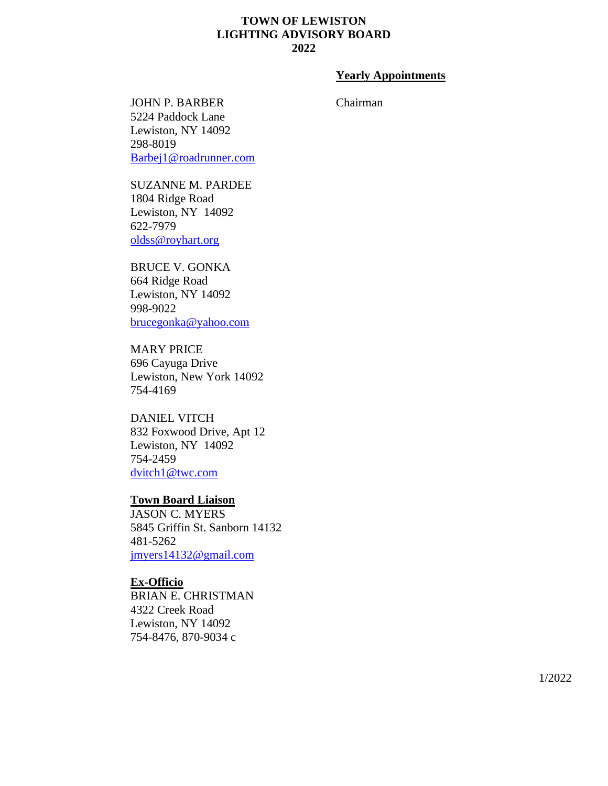# **TOWN OF LEWISTON LIGHTING ADVISORY BOARD 2022**

# **Yearly Appointments**

Chairman

JOHN P. BARBER 5224 Paddock Lane Lewiston, NY 14092 298-8019 [Barbej1@roadrunner.com](mailto:Barbej1@roadrunner.com)

SUZANNE M. PARDEE 1804 Ridge Road Lewiston, NY 14092 622-7979 [oldss@royhart.org](mailto:oldss@royhart.org)

BRUCE V. GONKA 664 Ridge Road Lewiston, NY 14092 998-9022 [brucegonka@yahoo.com](mailto:brucegonka@yahoo.com)

MARY PRICE 696 Cayuga Drive Lewiston, New York 14092 754-4169

DANIEL VITCH 832 Foxwood Drive, Apt 12 Lewiston, NY 14092 754-2459 [dvitch1@twc.com](mailto:dvitch1@twc.com)

#### **Town Board Liaison**

JASON C. MYERS 5845 Griffin St. Sanborn 14132 481-5262 [jmyers14132@gmail.com](mailto:jmyers14132@gmail.com)

**Ex-Officio** BRIAN E. CHRISTMAN 4322 Creek Road Lewiston, NY 14092 754-8476, 870-9034 c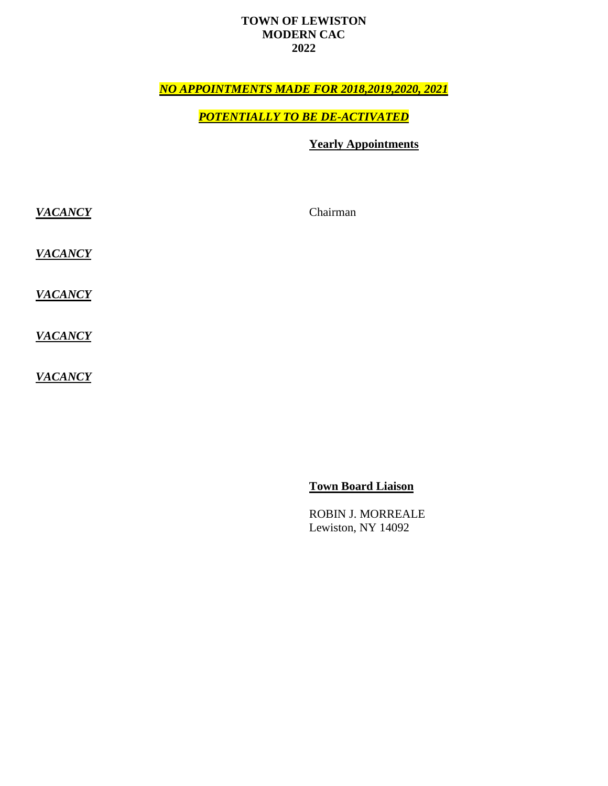# **TOWN OF LEWISTON MODERN CAC 2022**

# *NO APPOINTMENTS MADE FOR 2018,2019,2020, 2021*

# *POTENTIALLY TO BE DE-ACTIVATED*

# **Yearly Appointments**

*VACANCY VACANCY VACANCY* Chairman

*VACANCY*

*VACANCY*

**Town Board Liaison**

ROBIN J. MORREALE Lewiston, NY 14092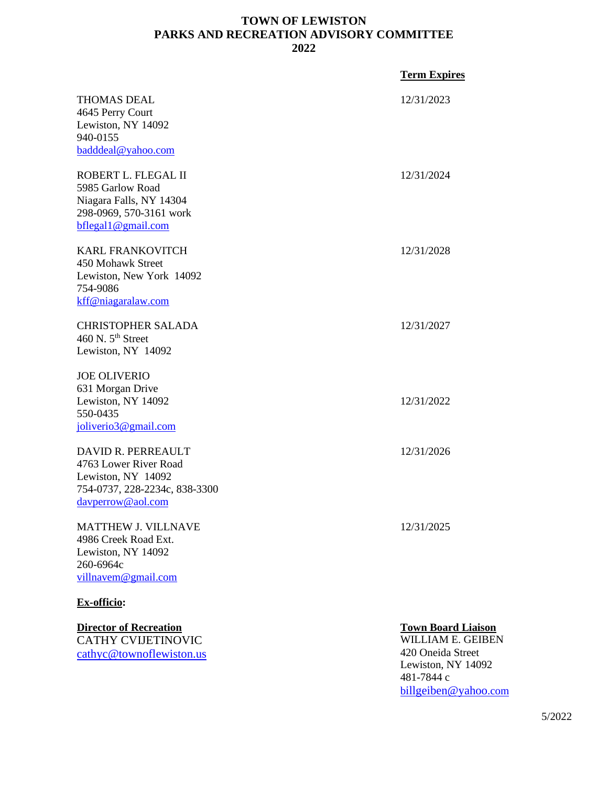# **TOWN OF LEWISTON PARKS AND RECREATION ADVISORY COMMITTEE 2022**

|                                                                                                                         | <b>Term Expires</b>                                                        |
|-------------------------------------------------------------------------------------------------------------------------|----------------------------------------------------------------------------|
| <b>THOMAS DEAL</b><br>4645 Perry Court<br>Lewiston, NY 14092<br>940-0155<br>badddeal@yahoo.com                          | 12/31/2023                                                                 |
| ROBERT L. FLEGAL II<br>5985 Garlow Road<br>Niagara Falls, NY 14304<br>298-0969, 570-3161 work<br>bflegal1@gmail.com     | 12/31/2024                                                                 |
| <b>KARL FRANKOVITCH</b><br>450 Mohawk Street<br>Lewiston, New York 14092<br>754-9086<br>kff@niagaralaw.com              | 12/31/2028                                                                 |
| <b>CHRISTOPHER SALADA</b><br>460 N. 5 <sup>th</sup> Street<br>Lewiston, NY 14092                                        | 12/31/2027                                                                 |
| <b>JOE OLIVERIO</b><br>631 Morgan Drive<br>Lewiston, NY 14092<br>550-0435<br>joliverio3@gmail.com                       | 12/31/2022                                                                 |
| DAVID R. PERREAULT<br>4763 Lower River Road<br>Lewiston, NY 14092<br>754-0737, 228-2234c, 838-3300<br>davperrow@aol.com | 12/31/2026                                                                 |
| <b>MATTHEW J. VILLNAVE</b><br>4986 Creek Road Ext.<br>Lewiston, NY 14092<br>260-6964c<br>villnavem@gmail.com            | 12/31/2025                                                                 |
| Ex-officio:                                                                                                             |                                                                            |
| <b>Director of Recreation</b><br><b>CATHY CVIJETINOVIC</b><br>cathyc@townoflewiston.us                                  | <b>Town Board Liaison</b><br><b>WILLIAM E. GEIBEN</b><br>420 Oneida Street |

420 Oneida Street Lewiston, NY 14092 481-7844 c b[illgeiben@yahoo](mailto:billgeiben@yahoo.com).com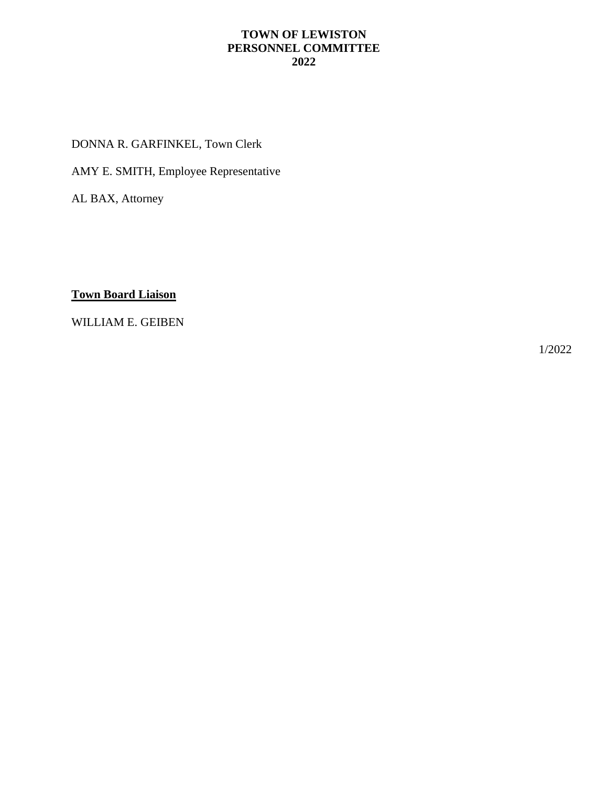# **TOWN OF LEWISTON PERSONNEL COMMITTEE 2022**

DONNA R. GARFINKEL, Town Clerk

AMY E. SMITH, Employee Representative

AL BAX, Attorney

**Town Board Liaison**

WILLIAM E. GEIBEN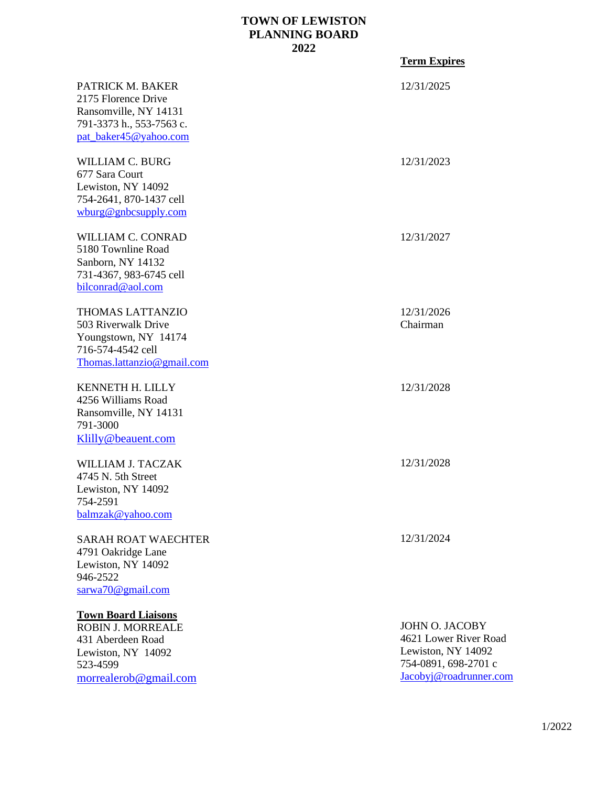# **TOWN OF LEWISTON PLANNING BOARD 2022**

|                                                                                                                                        | <b>Term Expires</b>                                                                                                    |
|----------------------------------------------------------------------------------------------------------------------------------------|------------------------------------------------------------------------------------------------------------------------|
| PATRICK M. BAKER<br>2175 Florence Drive<br>Ransomville, NY 14131<br>791-3373 h., 553-7563 c.<br>pat_baker45@yahoo.com                  | 12/31/2025                                                                                                             |
| <b>WILLIAM C. BURG</b><br>677 Sara Court<br>Lewiston, NY 14092<br>754-2641, 870-1437 cell<br>wburg@gnbcsupply.com                      | 12/31/2023                                                                                                             |
| <b>WILLIAM C. CONRAD</b><br>5180 Townline Road<br>Sanborn, NY 14132<br>731-4367, 983-6745 cell<br>bilconrad@aol.com                    | 12/31/2027                                                                                                             |
| <b>THOMAS LATTANZIO</b><br>503 Riverwalk Drive<br>Youngstown, NY 14174<br>716-574-4542 cell<br>Thomas.lattanzio@gmail.com              | 12/31/2026<br>Chairman                                                                                                 |
| KENNETH H. LILLY<br>4256 Williams Road<br>Ransomville, NY 14131<br>791-3000<br>Klilly@beauent.com                                      | 12/31/2028                                                                                                             |
| WILLIAM J. TACZAK<br>4745 N. 5th Street<br>Lewiston, NY 14092<br>754-2591<br>balmzak@yahoo.com                                         | 12/31/2028                                                                                                             |
| <b>SARAH ROAT WAECHTER</b><br>4791 Oakridge Lane<br>Lewiston, NY 14092<br>946-2522<br>sarwa70@gmail.com                                | 12/31/2024                                                                                                             |
| <b>Town Board Liaisons</b><br><b>ROBIN J. MORREALE</b><br>431 Aberdeen Road<br>Lewiston, NY 14092<br>523-4599<br>morrealerob@gmail.com | <b>JOHN O. JACOBY</b><br>4621 Lower River Road<br>Lewiston, NY 14092<br>754-0891, 698-2701 c<br>Jacobyj@roadrunner.com |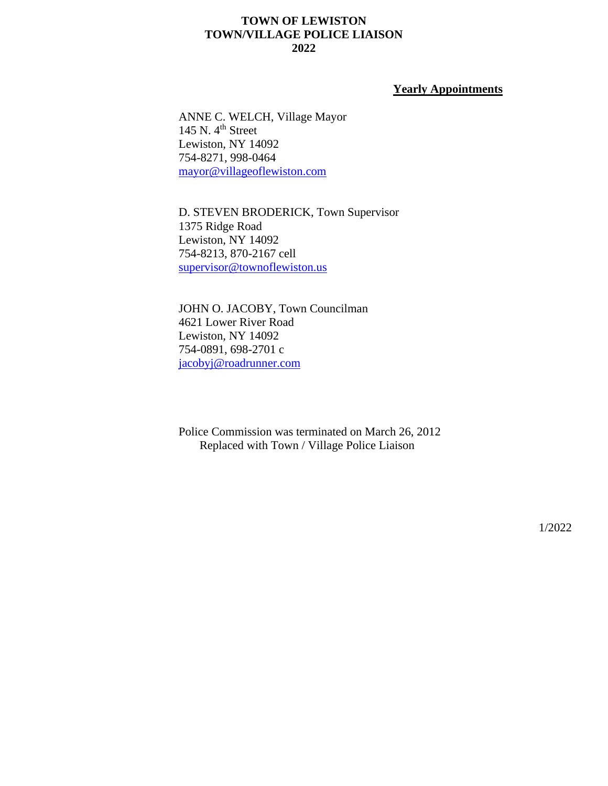# **TOWN OF LEWISTON TOWN/VILLAGE POLICE LIAISON 2022**

#### **Yearly Appointments**

ANNE C. WELCH, Village Mayor 145 N. 4<sup>th</sup> Street Lewiston, NY 14092 754-8271, 998-0464 [mayor@villageoflewiston.com](mailto:mayor@villageoflewiston.com)

D. STEVEN BRODERICK, Town Supervisor 1375 Ridge Road Lewiston, NY 14092 754-8213, 870-2167 cell [supervisor@townoflewiston.us](mailto:supervisor@townoflewiston.us)

JOHN O. JACOBY, Town Councilman 4621 Lower River Road Lewiston, NY 14092 754-0891, 698-2701 c [jacobyj@roadrunner.com](mailto:jacobyj@roadrunner.com)

Police Commission was terminated on March 26, 2012 Replaced with Town / Village Police Liaison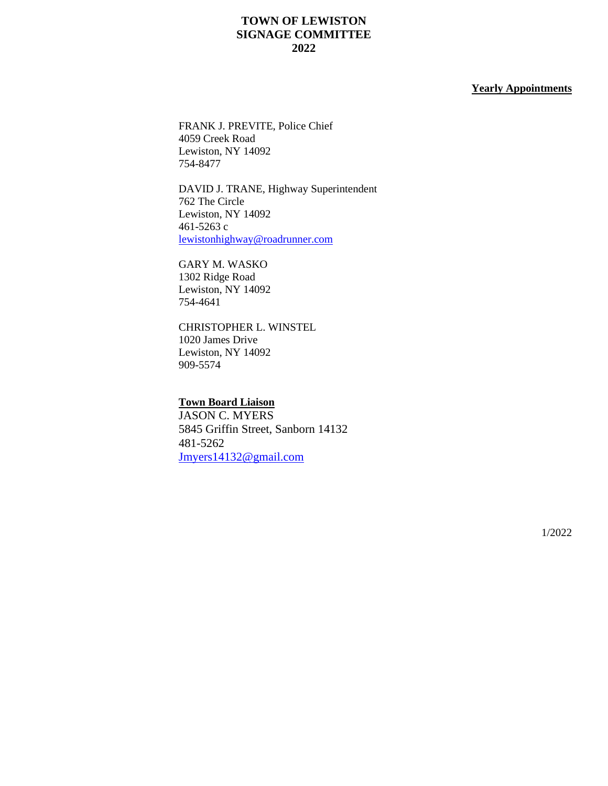# **TOWN OF LEWISTON SIGNAGE COMMITTEE 2022**

#### **Yearly Appointments**

FRANK J. PREVITE, Police Chief 4059 Creek Road Lewiston, NY 14092 754-8477

DAVID J. TRANE, Highway Superintendent 762 The Circle Lewiston, NY 14092 461-5263 c [lewistonhighway@roadrunner.com](mailto:lewistonhighway@roadrunner.com)

GARY M. WASKO 1302 Ridge Road Lewiston, NY 14092 754-4641

CHRISTOPHER L. WINSTEL 1020 James Drive Lewiston, NY 14092 909-5574

#### **Town Board Liaison**

JASON C. MYERS 5845 Griffin Street, Sanborn 14132 481-5262 [Jmyers14132@gmail.com](mailto:Jmyers14132@gmail.com)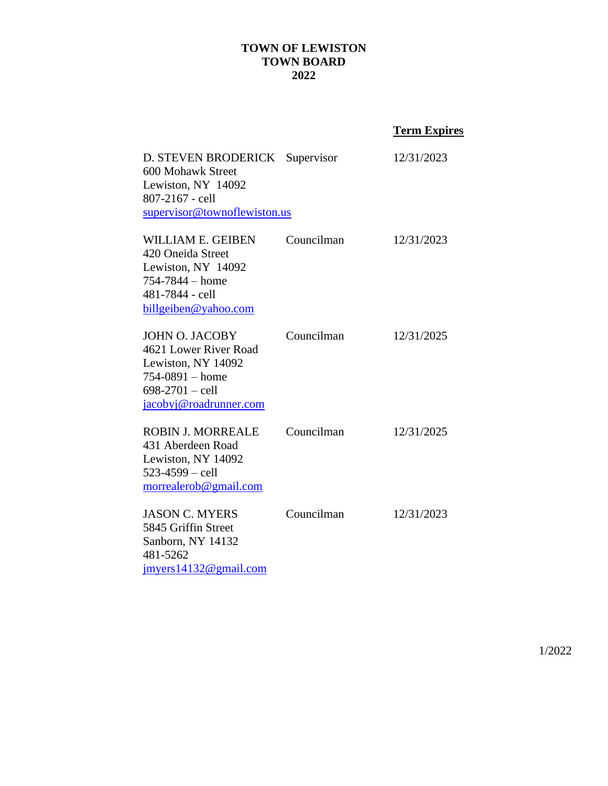# **TOWN OF LEWISTON TOWN BOARD 2022**

# **Term Expires**

| D. STEVEN BRODERICK Supervisor<br>600 Mohawk Street<br>Lewiston, NY 14092<br>807-2167 - cell<br>supervisor@townoflewiston.us               |            | 12/31/2023 |
|--------------------------------------------------------------------------------------------------------------------------------------------|------------|------------|
| <b>WILLIAM E. GEIBEN</b><br>420 Oneida Street<br>Lewiston, NY 14092<br>$754 - 7844 - home$<br>481-7844 - cell<br>billgeiben@yahoo.com      | Councilman | 12/31/2023 |
| <b>JOHN O. JACOBY</b><br>4621 Lower River Road<br>Lewiston, NY 14092<br>$754 - 0891 - home$<br>$698-2701 -$ cell<br>jacobyj@roadrunner.com | Councilman | 12/31/2025 |
| <b>ROBIN J. MORREALE</b><br>431 Aberdeen Road<br>Lewiston, NY 14092<br>$523 - 4599 -$ cell<br>morrealerob@gmail.com                        | Councilman | 12/31/2025 |
| <b>JASON C. MYERS</b><br>5845 Griffin Street<br>Sanborn, NY 14132<br>481-5262<br>imvers14132@gmail.com                                     | Councilman | 12/31/2023 |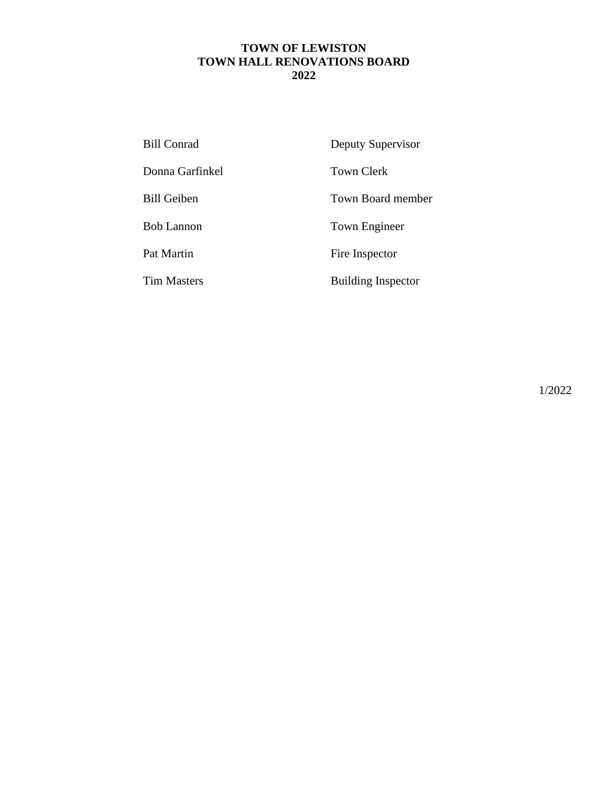# **TOWN OF LEWISTON TOWN HALL RENOVATIONS BOARD 2022**

| <b>Bill Conrad</b> | Deputy Supervisor         |
|--------------------|---------------------------|
| Donna Garfinkel    | <b>Town Clerk</b>         |
| <b>Bill Geiben</b> | <b>Town Board member</b>  |
| <b>Bob Lannon</b>  | Town Engineer             |
| Pat Martin         | Fire Inspector            |
| <b>Tim Masters</b> | <b>Building Inspector</b> |